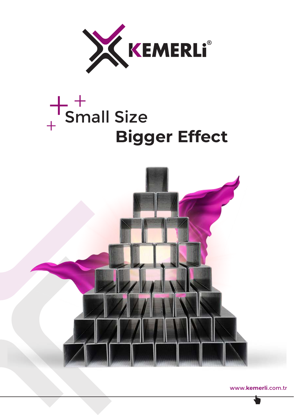

# Small Size **Bigger Effect**  $+$ <sup>+</sup><br>+<br>+



www.**kemerli**.com.tr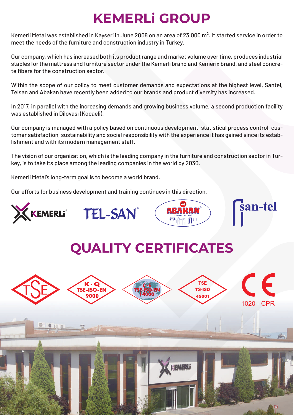## **KEMERLi GROUP**

Kemerli Metal was established in Kayseri in June 2008 on an area of 23.000 m². It started service in order to meet the needs of the furniture and construction industry in Turkey.

Our company, which has increased both its product range and market volume over time, produces industrial staples for the mattress and furniture sector under the Kemerli brand and Kemerix brand, and steel concrete fibers for the construction sector.

Within the scope of our policy to meet customer demands and expectations at the highest level, Santel, Telsan and Abakan have recently been added to our brands and product diversity has increased.

In 2017, in parallel with the increasing demands and growing business volume, a second production facility was established in Dilovası (Kocaeli).

Our company is managed with a policy based on continuous development, statistical process control, customer satisfaction, sustainability and social responsibility with the experience it has gained since its establishment and with its modern management staff.

The vision of our organization, which is the leading company in the furniture and construction sector in Turkey, is to take its place among the leading companies in the world by 2030.

Kemerli Metal's long-term goal is to become a world brand.

Our efforts for business development and training continues in this direction.

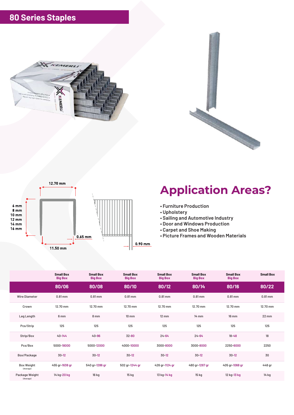





- **Furniture Production**
- **Upholstery**
- **Sailing and Automotive Industry**
- **Door and Windows Production**
- **Carpet and Shoe Making**
- **Picture Frames and Wooden Materials**

|                                | <b>Small Box</b><br><b>Big Box</b> | <b>Small Box</b><br><b>Big Box</b> | <b>Small Box</b><br><b>Big Box</b> | <b>Small Box</b><br><b>Big Box</b> | <b>Small Box</b><br><b>Big Box</b> | <b>Small Box</b><br><b>Big Box</b> | <b>Small Box</b>  |
|--------------------------------|------------------------------------|------------------------------------|------------------------------------|------------------------------------|------------------------------------|------------------------------------|-------------------|
|                                | 80/06                              | 80/08                              | 80/10                              | 80/12                              | 80/14                              | 80/16                              | 80/22             |
| <b>Wire Diameter</b>           | $0.81$ mm                          | $0.81$ mm                          | $0.81$ mm                          | $0.81$ mm                          | $0.81$ mm                          | $0.81$ mm                          | $0.81$ mm         |
| Crown                          | 12.70 mm                           | 12.70 mm                           | 12.70 mm                           | 12.70 mm                           | 12.70 mm                           | 12.70 mm                           | 12.70 mm          |
| Leg Length                     | 6 mm                               | 8 mm                               | $10 \text{ mm}$                    | $12 \, \text{mm}$                  | $14 \text{ mm}$                    | <b>16 mm</b>                       | $22 \, \text{mm}$ |
| Pcs/Strip                      | 125                                | 125                                | 125                                | 125                                | 125                                | 125                                | 125               |
| Strip/Box                      | $40 - 144$                         | $40 - 96$                          | $32 - 80$                          | $24 - 64$                          | $24 - 64$                          | $18 - 48$                          | 18                |
| Pcs/Box                        | 5000-18000                         | 5000-12000                         | 4000-10000                         | 3000-8000                          | 3000-8000                          | 2250-6000                          | 2250              |
| Box/Package                    | $30 - 12$                          | $30-12$                            | $30 - 12$                          | $30 - 12$                          | $30 - 12$                          | $30 - 12$                          | 30                |
| <b>Box Weight</b><br>(Average) | 455 gr-1638 gr                     | 540 gr-1286 gr                     | 502 gr-1244 gr                     | 426 gr-1124 gr                     | 480 gr-1267 gr                     | 405 gr-1068 gr                     | 448 gr            |
| Package Weight<br>(Average)    | 14 kg-20 kg                        | 16 kg                              | 15 kg                              | 13 kg-14 kg                        | 15 kg                              | 12 kg-13 kg                        | 14 kg             |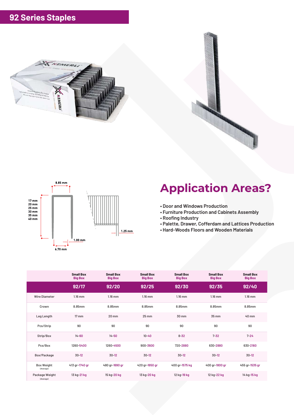



- **Door and Windows Production**
- **Furniture Production and Cabinets Assembly**
- **Roofing Industry**
- **Palette, Drawer, Cofferdam and Lattices Production**
- **Hard-Woods Floors and Wooden Materials**

|                                | <b>Small Box</b><br><b>Big Box</b> | <b>Small Box</b><br><b>Big Box</b> | <b>Small Box</b><br><b>Big Box</b> | <b>Small Box</b><br><b>Big Box</b> | <b>Small Box</b><br><b>Big Box</b> | <b>Small Box</b><br><b>Big Box</b> |
|--------------------------------|------------------------------------|------------------------------------|------------------------------------|------------------------------------|------------------------------------|------------------------------------|
|                                | 92/17                              | 92/20                              | 92/25                              | 92/30                              | 92/35                              | 92/40                              |
| <b>Wire Diameter</b>           | $1.16$ mm                          | $1.16$ mm                          | $1.16$ mm                          | $1.16$ mm                          | $1.16$ mm                          | $1.16$ mm                          |
| Crown                          | 8.85mm                             | 8.85mm                             | 8.85mm                             | 8.85mm                             | 8.85mm                             | 8.85mm                             |
| Leg Length                     | $17 \, \mathrm{mm}$                | $20 \text{ mm}$                    | $25 \, \text{mm}$                  | 30 mm                              | 35 mm                              | 40 mm                              |
| Pcs/Strip                      | 90                                 | 90                                 | 90                                 | 90                                 | 90                                 | 90                                 |
| Strip/Box                      | $14 - 60$                          | $14 - 50$                          | $10 - 40$                          | $8 - 32$                           | $7 - 32$                           | $7 - 24$                           |
| Pcs/Box                        | 1260-5400                          | 1260-4500                          | 900-3600                           | 720-2880                           | 630-2880                           | 630-2160                           |
| Box/Package                    | $30 - 12$                          | $30-12$                            | $30-12$                            | $30 - 12$                          | $30 - 12$                          | $30-12$                            |
| <b>Box Weight</b><br>(Average) | 413 gr-1740 gr                     | 480 gr-1690 gr                     | 420 gr-1650 gr                     | 400 gr-1575 kg                     | 400 gr-1800 gr                     | 455 gr-1535 gr                     |
| Package Weight<br>(Average)    | 13 kg-21 kg                        | 15 kg-20 kg                        | 13 kg-20 kg                        | 12 kg-19 kg                        | 12 kg-22 kg                        | 14 kg-15 kg                        |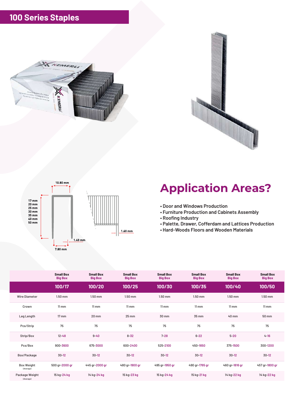





- **Door and Windows Production**
- **Furniture Production and Cabinets Assembly**
- **Roofing Industry**
- **Palette, Drawer, Cofferdam and Lattices Production**
- **Hard-Woods Floors and Wooden Materials**

|                                | <b>Small Box</b><br><b>Big Box</b> | <b>Small Box</b><br><b>Big Box</b> | <b>Small Box</b><br><b>Big Box</b> | <b>Small Box</b><br><b>Big Box</b> | <b>Small Box</b><br><b>Big Box</b> | <b>Small Box</b><br><b>Big Box</b> | <b>Small Box</b><br><b>Big Box</b> |
|--------------------------------|------------------------------------|------------------------------------|------------------------------------|------------------------------------|------------------------------------|------------------------------------|------------------------------------|
|                                | 100/17                             | 100/20                             | 100/25                             | 100/30                             | 100/35                             | 100/40                             | 100/50                             |
| <b>Wire Diameter</b>           | $1.50$ mm                          | $1.50$ mm                          | $1.50$ mm                          | $1.50$ mm                          | $1.50$ mm                          | $1.50$ mm                          | $1.50$ mm                          |
| Crown                          | $11 \, \text{mm}$                  | $11 \, \text{mm}$                  | $11 \, \text{mm}$                  | $11 \, \text{mm}$                  | $11 \, \text{mm}$                  | $11 \, \text{mm}$                  | $11 \, \text{mm}$                  |
| Leg Length                     | 17 mm                              | 20 mm                              | 25 mm                              | 30 mm                              | 35 mm                              | 40 mm                              | 50 mm                              |
| Pcs/Strip                      | 75                                 | 75                                 | 75                                 | 75                                 | 75                                 | 75                                 | 75                                 |
| Strip/Box                      | $12 - 48$                          | $9 - 40$                           | $8 - 32$                           | $7 - 28$                           | $6 - 22$                           | $5 - 20$                           | $4 - 16$                           |
| Pcs/Box                        | 900-3600                           | 675-3000                           | 600-2400                           | 525-2100                           | 450-1650                           | 375-1500                           | 300-1200                           |
| Box/Package                    | $30 - 12$                          | $30-12$                            | $30 - 12$                          | $30 - 12$                          | $30-12$                            | $30 - 12$                          | $30 - 12$                          |
| <b>Box Weight</b><br>(Average) | 500 gr-2000 gr                     | 445 gr-2000 gr                     | 480 gr-1900 gr                     | 495 gr-1950 gr                     | 490 gr-1765 gr                     | 460 gr-1816 gr                     | 457 gr-1800 gr                     |
| Package Weight<br>(Average)    | 15 kg-24 kg                        | 14 kg-24 kg                        | 15 kg-23 kg                        | 15 kg-24 kg                        | 15 kg-21 kg                        | 14 kg-22 kg                        | 14 kg-22 kg                        |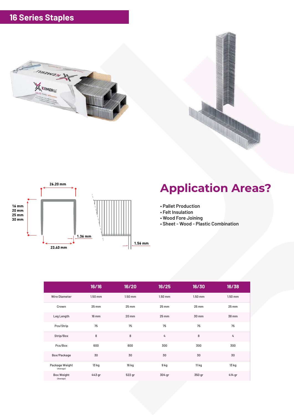



- **Pallet Production**
- **Felt Insulation**
- **Wood Fore Joining**
- **Sheet Wood Plastic Combination**

|                                | 16/16     | 16/20     | 16/25   | 16/30   | 16/38     |
|--------------------------------|-----------|-----------|---------|---------|-----------|
| <b>Wire Diameter</b>           | $1.50$ mm | $1.50$ mm | 1.50 mm | 1.50 mm | $1.50$ mm |
| Crown                          | 25 mm     | 25 mm     | 25 mm   | 25 mm   | 25 mm     |
| Leg Length                     | 16 mm     | 20 mm     | 25 mm   | 30 mm   | 38 mm     |
| Pcs/Strip                      | 75        | 75        | 75      | 75      | 75        |
| Strip/Box                      | 8         | 8         | 4       | 8       | 4         |
| Pcs/Box                        | 600       | 600       | 300     | 300     | 300       |
| Box/Package                    | 30        | 30        | 30      | 30      | 30        |
| Package Weight<br>(Average)    | 13 kg     | 16 kg     | 9 kg    | 11 kg   | 13 kg     |
| <b>Box Weight</b><br>(Average) | 443 gr    | 522 gr    | 304 gr  | 350 gr  | 414 gr    |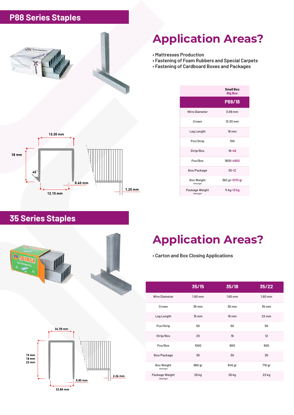#### **P88 Series Staples**



### **Application Areas?**

- **Mattresses Production**
- **Fastening of Foam Rubbers and Special Carpets**
- **Fastening of Cardboard Boxes and Packages**

|                                | <b>Small Box</b><br><b>Big Box</b> |
|--------------------------------|------------------------------------|
|                                | P88/18                             |
| <b>Wire Diameter</b>           | $0.89$ mm                          |
| Crown                          | 13.30 mm                           |
| Leg Length                     | <b>18 mm</b>                       |
| Pcs/Strip                      | 100                                |
| Strip/Box                      | $16 - 48$                          |
| Pcs/Box                        | 1600-4800                          |
| Box/Package                    | $30 - 12$                          |
| <b>Box Weight</b><br>(Average) | 362 gr-1070 gr                     |
| Package Weight<br>(Average)    | 11 kg-13 kg                        |

#### **35 Series Staples**





### **Application Areas?**

**• Carton and Box Closing Applications**

|                                | 35/15             | 35/18               | 35/22             |
|--------------------------------|-------------------|---------------------|-------------------|
| <b>Wire Diameter</b>           | $1.60$ mm         | $1.60$ mm           | $1.60$ mm         |
| Crown                          | 35 mm             | 35 mm               | 35 mm             |
| Leg Length                     | $15 \, \text{mm}$ | $18 \, \mathrm{mm}$ | $22 \, \text{mm}$ |
| Pcs/Strip                      | 50                | 50                  | 50                |
| Strip/Box                      | 20                | 16                  | 12                |
| Pcs/Box                        | 1000              | 800                 | 600               |
| Box/Package                    | 30                | 30                  | 30                |
| <b>Box Weight</b><br>(Average) | 960 gr            | 845 gr              | 710 gr            |
| Package Weight<br>(Average)    | 29 kg             | 26 kg               | 22 kg             |